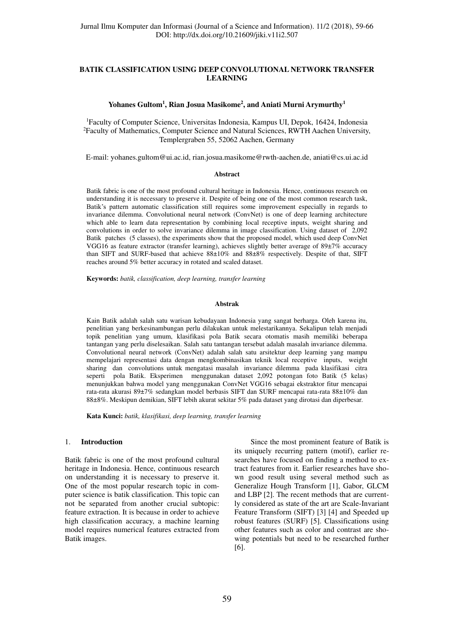# **BATIK CLASSIFICATION USING DEEP CONVOLUTIONAL NETWORK TRANSFER LEARNING**

# **Yohanes Gultom<sup>1</sup> , Rian Josua Masikome<sup>2</sup> , and Aniati Murni Arymurthy<sup>1</sup>**

<sup>1</sup>Faculty of Computer Science, Universitas Indonesia, Kampus UI, Depok, 16424, Indonesia <sup>2</sup>Faculty of Mathematics, Computer Science and Natural Sciences, RWTH Aachen University, Templergraben 55, 52062 Aachen, Germany

E-mail: yohanes.gultom@ui.ac.id, rian.josua.masikome@rwth-aachen.de, aniati@cs.ui.ac.id

#### **Abstract**

Batik fabric is one of the most profound cultural heritage in Indonesia. Hence, continuous research on understanding it is necessary to preserve it. Despite of being one of the most common research task, Batik's pattern automatic classification still requires some improvement especially in regards to invariance dilemma. Convolutional neural network (ConvNet) is one of deep learning architecture which able to learn data representation by combining local receptive inputs, weight sharing and convolutions in order to solve invariance dilemma in image classification. Using dataset of 2,092 Batik patches (5 classes), the experiments show that the proposed model, which used deep ConvNet VGG16 as feature extractor (transfer learning), achieves slightly better average of 89±7% accuracy than SIFT and SURF-based that achieve 88±10% and 88±8% respectively. Despite of that, SIFT reaches around 5% better accuracy in rotated and scaled dataset.

**Keywords:** *batik, classification, deep learning, transfer learning*

### **Abstrak**

Kain Batik adalah salah satu warisan kebudayaan Indonesia yang sangat berharga. Oleh karena itu, penelitian yang berkesinambungan perlu dilakukan untuk melestarikannya. Sekalipun telah menjadi topik penelitian yang umum, klasifikasi pola Batik secara otomatis masih memiliki beberapa tantangan yang perlu diselesaikan. Salah satu tantangan tersebut adalah masalah invariance dilemma. Convolutional neural network (ConvNet) adalah salah satu arsitektur deep learning yang mampu mempelajari representasi data dengan mengkombinasikan teknik local receptive inputs, weight sharing dan convolutions untuk mengatasi masalah invariance dilemma pada klasifikasi citra seperti pola Batik. Eksperimen menggunakan dataset 2,092 potongan foto Batik (5 kelas) menunjukkan bahwa model yang menggunakan ConvNet VGG16 sebagai ekstraktor fitur mencapai rata-rata akurasi 89±7% sedangkan model berbasis SIFT dan SURF mencapai rata-rata 88±10% dan 88±8%. Meskipun demikian, SIFT lebih akurat sekitar 5% pada dataset yang dirotasi dan diperbesar.

**Kata Kunci:** *batik, klasifikasi, deep learning, transfer learning*

### 1. **Introduction**

Batik fabric is one of the most profound cultural heritage in Indonesia. Hence, continuous research on understanding it is necessary to preserve it. One of the most popular research topic in computer science is batik classification. This topic can not be separated from another crucial subtopic: feature extraction. It is because in order to achieve high classification accuracy, a machine learning model requires numerical features extracted from Batik images.

Since the most prominent feature of Batik is its uniquely recurring pattern (motif), earlier researches have focused on finding a method to extract features from it. Earlier researches have shown good result using several method such as Generalize Hough Transform [1], Gabor, GLCM and LBP [2]. The recent methods that are currently considered as state of the art are Scale-Invariant Feature Transform (SIFT) [3] [4] and Speeded up robust features (SURF) [5]. Classifications using other features such as color and contrast are showing potentials but need to be researched further [6].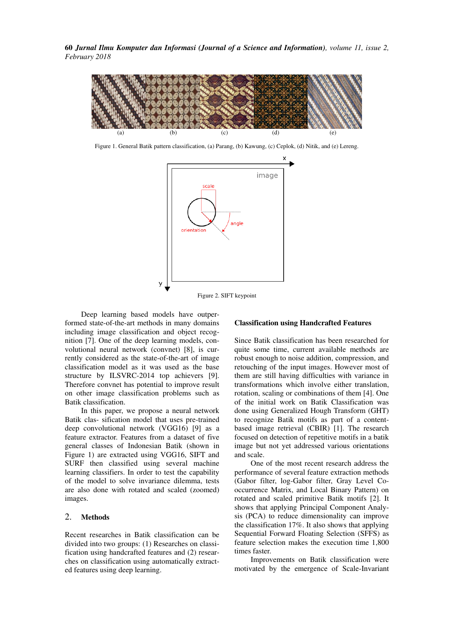**60** *Jurnal Ilmu Komputer dan Informasi (Journal of a Science and Information), volume 11, issue 2, February 2018* 



Figure 1. General Batik pattern classification, (a) Parang, (b) Kawung, (c) Ceplok, (d) Nitik, and (e) Lereng.



Figure 2. SIFT keypoint

 Deep learning based models have outperformed state-of-the-art methods in many domains including image classification and object recognition [7]. One of the deep learning models, convolutional neural network (convnet) [8], is currently considered as the state-of-the-art of image classification model as it was used as the base structure by ILSVRC-2014 top achievers [9]. Therefore convnet has potential to improve result on other image classification problems such as Batik classification.

 In this paper, we propose a neural network Batik clas- sification model that uses pre-trained deep convolutional network (VGG16) [9] as a feature extractor. Features from a dataset of five general classes of Indonesian Batik (shown in Figure 1) are extracted using VGG16, SIFT and SURF then classified using several machine learning classifiers. In order to test the capability of the model to solve invariance dilemma, tests are also done with rotated and scaled (zoomed) images.

# 2. **Methods**

Recent researches in Batik classification can be divided into two groups: (1) Researches on classification using handcrafted features and (2) researches on classification using automatically extracted features using deep learning.

### **Classification using Handcrafted Features**

Since Batik classification has been researched for quite some time, current available methods are robust enough to noise addition, compression, and retouching of the input images. However most of them are still having difficulties with variance in transformations which involve either translation, rotation, scaling or combinations of them [4]. One of the initial work on Batik Classification was done using Generalized Hough Transform (GHT) to recognize Batik motifs as part of a contentbased image retrieval (CBIR) [1]. The research focused on detection of repetitive motifs in a batik image but not yet addressed various orientations and scale.

One of the most recent research address the performance of several feature extraction methods (Gabor filter, log-Gabor filter, Gray Level Cooccurrence Matrix, and Local Binary Pattern) on rotated and scaled primitive Batik motifs [2]. It shows that applying Principal Component Analysis (PCA) to reduce dimensionality can improve the classification 17%. It also shows that applying Sequential Forward Floating Selection (SFFS) as feature selection makes the execution time 1,800 times faster.

Improvements on Batik classification were motivated by the emergence of Scale-Invariant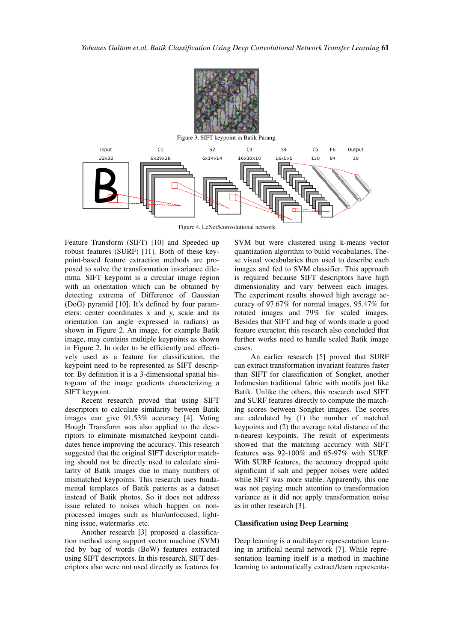

Figure 4. LeNet5convolutional network

Feature Transform (SIFT) [10] and Speeded up robust features (SURF) [11]. Both of these keypoint-based feature extraction methods are proposed to solve the transformation invariance dilemma. SIFT keypoint is a circular image region with an orientation which can be obtained by detecting extrema of Difference of Gaussian (DoG) pyramid [10]. It's defined by four parameters: center coordinates x and y, scale and its orientation (an angle expressed in radians) as shown in Figure 2. An image, for example Batik image, may contains multiple keypoints as shown in Figure 2. In order to be efficiently and effectively used as a feature for classification, the keypoint need to be represented as SIFT descriptor. By definition it is a 3-dimensional spatial histogram of the image gradients characterizing a SIFT keypoint.

Recent research proved that using SIFT descriptors to calculate similarity between Batik images can give 91.53% accuracy [4]. Voting Hough Transform was also applied to the descriptors to eliminate mismatched keypoint candidates hence improving the accuracy. This research suggested that the original SIFT descriptor matching should not be directly used to calculate similarity of Batik images due to many numbers of mismatched keypoints. This research uses fundamental templates of Batik patterns as a dataset instead of Batik photos. So it does not address issue related to noises which happen on nonprocessed images such as blur/unfocused, lightning issue, watermarks .etc.

Another research [3] proposed a classification method using support vector machine (SVM) fed by bag of words (BoW) features extracted using SIFT descriptors. In this research, SIFT descriptors also were not used directly as features for

SVM but were clustered using k-means vector quantization algorithm to build vocabularies. These visual vocabularies then used to describe each images and fed to SVM classifier. This approach is required because SIFT descriptors have high dimensionality and vary between each images. The experiment results showed high average accuracy of 97.67% for normal images, 95.47% for rotated images and 79% for scaled images. Besides that SIFT and bag of words made a good feature extractor, this research also concluded that further works need to handle scaled Batik image cases.

An earlier research [5] proved that SURF can extract transformation invariant features faster than SIFT for classification of Songket, another Indonesian traditional fabric with motifs just like Batik. Unlike the others, this research used SIFT and SURF features directly to compute the matching scores between Songket images. The scores are calculated by (1) the number of matched keypoints and (2) the average total distance of the n-nearest keypoints. The result of experiments showed that the matching accuracy with SIFT features was 92-100% and 65-97% with SURF. With SURF features, the accuracy dropped quite significant if salt and pepper noises were added while SIFT was more stable. Apparently, this one was not paying much attention to transformation variance as it did not apply transformation noise as in other research [3].

## **Classification using Deep Learning**

Deep learning is a multilayer representation learning in artificial neural network [7]. While representation learning itself is a method in machine learning to automatically extract/learn representa-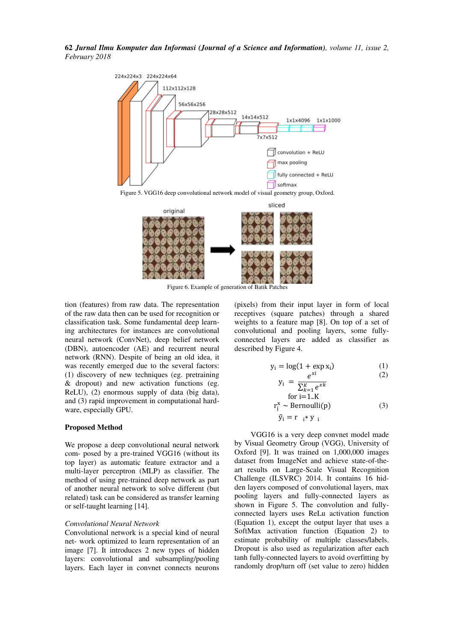**62** *Jurnal Ilmu Komputer dan Informasi (Journal of a Science and Information), volume 11, issue 2, February 2018* 



Figure 5. VGG16 deep convolutional network model of visual geometry group, Oxford.



Figure 6. Example of generation of Batik Patches

tion (features) from raw data. The representation of the raw data then can be used for recognition or classification task. Some fundamental deep learning architectures for instances are convolutional neural network (ConvNet), deep belief network (DBN), autoencoder (AE) and recurrent neural network (RNN). Despite of being an old idea, it was recently emerged due to the several factors: (1) discovery of new techniques (eg. pretraining & dropout) and new activation functions (eg. ReLU), (2) enormous supply of data (big data), and (3) rapid improvement in computational hardware, especially GPU.

#### **Proposed Method**

We propose a deep convolutional neural network com- posed by a pre-trained VGG16 (without its top layer) as automatic feature extractor and a multi-layer perceptron (MLP) as classifier. The method of using pre-trained deep network as part of another neural network to solve different (but related) task can be considered as transfer learning or self-taught learning [14].

## *Convolutional Neural Network*

Convolutional network is a special kind of neural net- work optimized to learn representation of an image [7]. It introduces 2 new types of hidden layers: convolutional and subsampling/pooling layers. Each layer in convnet connects neurons (pixels) from their input layer in form of local receptives (square patches) through a shared weights to a feature map [8]. On top of a set of convolutional and pooling layers, some fullyconnected layers are added as classifier as described by Figure 4.

yi

$$
y_i = \log(1 + \exp x_i) \tag{1}
$$

$$
V_i = \frac{e^{xt}}{\sum_{k=1}^K e^{xk}} \tag{2}
$$

for i=1..K  
\n
$$
r_j^x \sim \text{Bernoulli}(p)
$$
 (3)  
\n $\tilde{y}_i = r_{i} * y_{i}$ 

VGG16 is a very deep convnet model made by Visual Geometry Group (VGG), University of Oxford [9]. It was trained on 1,000,000 images dataset from ImageNet and achieve state-of-theart results on Large-Scale Visual Recognition Challenge (ILSVRC) 2014. It contains 16 hidden layers composed of convolutional layers, max pooling layers and fully-connected layers as shown in Figure 5. The convolution and fullyconnected layers uses ReLu activation function (Equation 1), except the output layer that uses a SoftMax activation function (Equation 2) to estimate probability of multiple classes/labels. Dropout is also used as regularization after each tanh fully-connected layers to avoid overfitting by randomly drop/turn off (set value to zero) hidden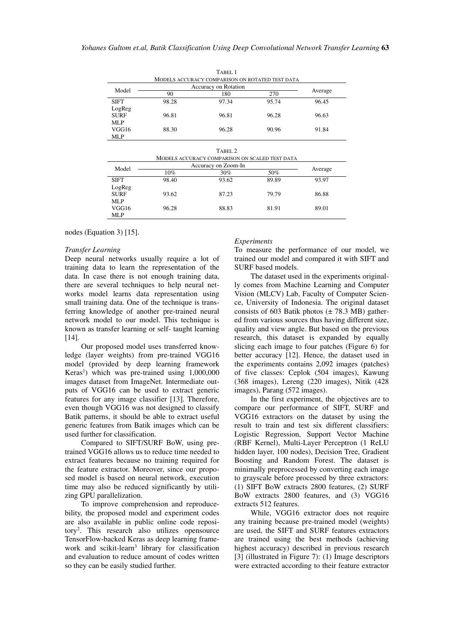|                                                 |                             | TABEL <sub>1</sub> |       |         |  |  |  |
|-------------------------------------------------|-----------------------------|--------------------|-------|---------|--|--|--|
| MODELS ACCURACY COMPARISON ON ROTATED TEST DATA |                             |                    |       |         |  |  |  |
| Model                                           | <b>Accuracy on Rotation</b> |                    |       |         |  |  |  |
|                                                 | 90                          | 180                | 270   | Average |  |  |  |
| <b>SIFT</b>                                     | 98.28                       | 97.34              | 95.74 | 96.45   |  |  |  |
| LogReg                                          |                             |                    |       |         |  |  |  |
| <b>SURF</b>                                     | 96.81                       | 96.81              | 96.28 | 96.63   |  |  |  |
| MLP                                             |                             |                    |       |         |  |  |  |
| VGG16                                           | 88.30                       | 96.28              | 90.96 | 91.84   |  |  |  |
| MLP                                             |                             |                    |       |         |  |  |  |

|                                                |                     | TABEL <sub>2</sub> |       |         |  |  |  |
|------------------------------------------------|---------------------|--------------------|-------|---------|--|--|--|
| MODELS ACCURACY COMPARISON ON SCALED TEST DATA |                     |                    |       |         |  |  |  |
| Model                                          | Accuracy on Zoom-In |                    |       |         |  |  |  |
|                                                | $10\%$              | 30%                | 50%   | Average |  |  |  |
| <b>SIFT</b>                                    | 98.40               | 93.62              | 89.89 | 93.97   |  |  |  |
| LogReg                                         |                     |                    |       |         |  |  |  |
| <b>SURF</b>                                    | 93.62               | 87.23              | 79.79 | 86.88   |  |  |  |
| MLP                                            |                     |                    |       |         |  |  |  |
| VGG16                                          | 96.28               | 88.83              | 81.91 | 89.01   |  |  |  |
| MLP                                            |                     |                    |       |         |  |  |  |

nodes (Equation 3) [15].

### *Transfer Learning*

Deep neural networks usually require a lot of training data to learn the representation of the data. In case there is not enough training data, there are several techniques to help neural networks model learns data representation using small training data. One of the technique is transferring knowledge of another pre-trained neural network model to our model. This technique is known as transfer learning or self- taught learning [14].

Our proposed model uses transferred knowledge (layer weights) from pre-trained VGG16 model (provided by deep learning framework Keras<sup>1</sup>) which was pre-trained using 1,000,000 images dataset from ImageNet. Intermediate outputs of VGG16 can be used to extract generic features for any image classifier [13]. Therefore, even though VGG16 was not designed to classify Batik patterns, it should be able to extract useful generic features from Batik images which can be used further for classification.

Compared to SIFT/SURF BoW, using pretrained VGG16 allows us to reduce time needed to extract features because no training required for the feature extractor. Moreover, since our proposed model is based on neural network, execution time may also be reduced significantly by utilizing GPU parallelization.

To improve comprehension and reproducebility, the proposed model and experiment codes are also available in public online code repository<sup>2</sup> . This research also utilizes opensource TensorFlow-backed Keras as deep learning framework and scikit-learn<sup>3</sup> library for classification and evaluation to reduce amount of codes written so they can be easily studied further.

#### *Experiments*

To measure the performance of our model, we trained our model and compared it with SIFT and SURF based models.

 The dataset used in the experiments originally comes from Machine Learning and Computer Vision (MLCV) Lab, Faculty of Computer Science, University of Indonesia. The original dataset consists of 603 Batik photos  $(\pm 78.3 \text{ MB})$  gathered from various sources thus having different size, quality and view angle. But based on the previous research, this dataset is expanded by equally slicing each image to four patches (Figure 6) for better accuracy [12]. Hence, the dataset used in the experiments contains 2,092 images (patches) of five classes: Ceplok (504 images), Kawung (368 images), Lereng (220 images), Nitik (428 images), Parang (572 images).

 In the first experiment, the objectives are to compare our performance of SIFT, SURF and VGG16 extractors on the dataset by using the result to train and test six different classifiers: Logistic Regression, Support Vector Machine (RBF Kernel), Multi-Layer Perceptron (1 ReLU hidden layer, 100 nodes), Decision Tree, Gradient Boosting and Random Forest. The dataset is minimally preprocessed by converting each image to grayscale before processed by three extractors: (1) SIFT BoW extracts 2800 features, (2) SURF BoW extracts 2800 features, and (3) VGG16 extracts 512 features.

 While, VGG16 extractor does not require any training because pre-trained model (weights) are used, the SIFT and SURF features extractors are trained using the best methods (achieving highest accuracy) described in previous research [3] (illustrated in Figure 7): (1) Image descriptors were extracted according to their feature extractor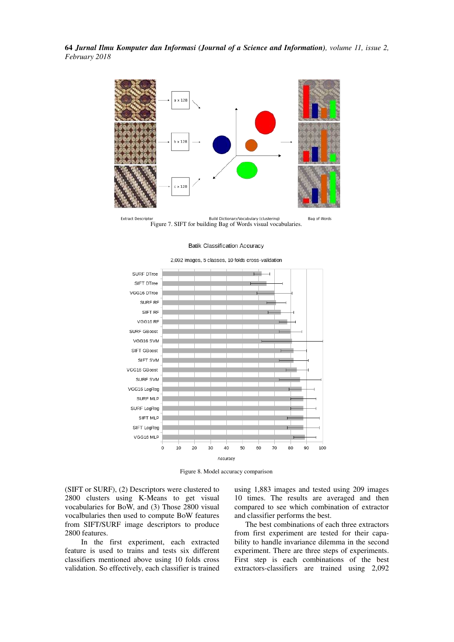**64** *Jurnal Ilmu Komputer dan Informasi (Journal of a Science and Information), volume 11, issue 2, February 2018* 



**Extract Descrip** Build Dictionary/Vocabulary (clustering) Bag of Words Figure 7. SIFT for building Bag of Words visual vocabularies.

#### **Batik Classification Accuracy**

#### SURF DTree SIFT DTree VGG16 DTree SURF RF SIFT RF VGG16 RF SURF GBoost VGG16 SVM SIFT GBoost SIFT SVM VGG16 GBoost SURF SVM VGG16 LogReg SURF MLP SURF LogReg SIFT MLP SIFT LogReg VGG16 MLP  $\circ$ 10 20 50 60 70 80 100 30 40 90 Accuracy



Figure 8. Model accuracy comparison

(SIFT or SURF), (2) Descriptors were clustered to 2800 clusters using K-Means to get visual vocabularies for BoW, and (3) Those 2800 visual vocalbularies then used to compute BoW features from SIFT/SURF image descriptors to produce 2800 features.

 In the first experiment, each extracted feature is used to trains and tests six different classifiers mentioned above using 10 folds cross validation. So effectively, each classifier is trained

using 1,883 images and tested using 209 images 10 times. The results are averaged and then compared to see which combination of extractor and classifier performs the best.

 The best combinations of each three extractors from first experiment are tested for their capability to handle invariance dilemma in the second experiment. There are three steps of experiments. First step is each combinations of the best extractors-classifiers are trained using 2,092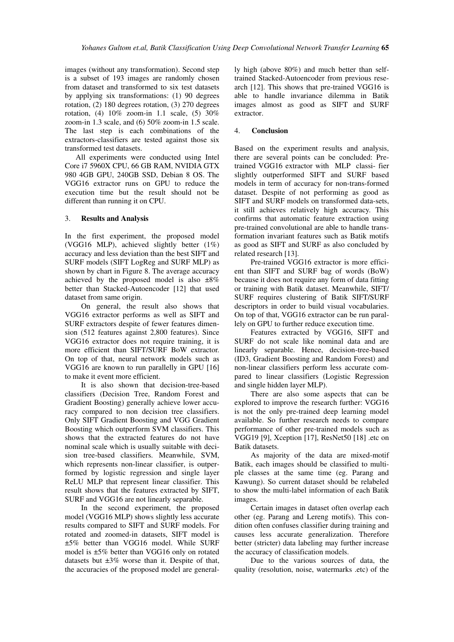images (without any transformation). Second step is a subset of 193 images are randomly chosen from dataset and transformed to six test datasets by applying six transformations: (1) 90 degrees rotation, (2) 180 degrees rotation, (3) 270 degrees rotation, (4) 10% zoom-in 1.1 scale, (5) 30% zoom-in 1.3 scale, and (6) 50% zoom-in 1.5 scale. The last step is each combinations of the extractors-classifiers are tested against those six transformed test datasets.

 All experiments were conducted using Intel Core i7 5960X CPU, 66 GB RAM, NVIDIA GTX 980 4GB GPU, 240GB SSD, Debian 8 OS. The VGG16 extractor runs on GPU to reduce the execution time but the result should not be different than running it on CPU.

# 3. **Results and Analysis**

In the first experiment, the proposed model (VGG16 MLP), achieved slightly better (1%) accuracy and less deviation than the best SIFT and SURF models (SIFT LogReg and SURF MLP) as shown by chart in Figure 8. The average accuracy achieved by the proposed model is also  $\pm 8\%$ better than Stacked-Autoencoder [12] that used dataset from same origin.

 On general, the result also shows that VGG16 extractor performs as well as SIFT and SURF extractors despite of fewer features dimension (512 features against 2,800 features). Since VGG16 extractor does not require training, it is more efficient than SIFT/SURF BoW extractor. On top of that, neural network models such as VGG16 are known to run parallelly in GPU [16] to make it event more efficient.

It is also shown that decision-tree-based classifiers (Decision Tree, Random Forest and Gradient Boosting) generally achieve lower accuracy compared to non decision tree classifiers. Only SIFT Gradient Boosting and VGG Gradient Boosting which outperform SVM classifiers. This shows that the extracted features do not have nominal scale which is usually suitable with decision tree-based classifiers. Meanwhile, SVM, which represents non-linear classifier, is outperformed by logistic regression and single layer ReLU MLP that represent linear classifier. This result shows that the features extracted by SIFT, SURF and VGG16 are not linearly separable.

In the second experiment, the proposed model (VGG16 MLP) shows slightly less accurate results compared to SIFT and SURF models. For rotated and zoomed-in datasets, SIFT model is ±5% better than VGG16 model. While SURF model is ±5% better than VGG16 only on rotated datasets but  $\pm 3\%$  worse than it. Despite of that, the accuracies of the proposed model are generally high (above 80%) and much better than selftrained Stacked-Autoencoder from previous research [12]. This shows that pre-trained VGG16 is able to handle invariance dilemma in Batik images almost as good as SIFT and SURF extractor.

# 4. **Conclusion**

Based on the experiment results and analysis, there are several points can be concluded: Pretrained VGG16 extractor with MLP classi- fier slightly outperformed SIFT and SURF based models in term of accuracy for non-trans-formed dataset. Despite of not performing as good as SIFT and SURF models on transformed data-sets, it still achieves relatively high accuracy. This confirms that automatic feature extraction using pre-trained convolutional are able to handle transformation invariant features such as Batik motifs as good as SIFT and SURF as also concluded by related research [13].

 Pre-trained VGG16 extractor is more efficient than SIFT and SURF bag of words (BoW) because it does not require any form of data fitting or training with Batik dataset. Meanwhile, SIFT/ SURF requires clustering of Batik SIFT/SURF descriptors in order to build visual vocabularies. On top of that, VGG16 extractor can be run parallely on GPU to further reduce execution time.

 Features extracted by VGG16, SIFT and SURF do not scale like nominal data and are linearly separable. Hence, decision-tree-based (ID3, Gradient Boosting and Random Forest) and non-linear classifiers perform less accurate compared to linear classifiers (Logistic Regression and single hidden layer MLP).

 There are also some aspects that can be explored to improve the research further: VGG16 is not the only pre-trained deep learning model available. So further research needs to compare performance of other pre-trained models such as VGG19 [9], Xception [17], ResNet50 [18] .etc on Batik datasets.

 As majority of the data are mixed-motif Batik, each images should be classified to multiple classes at the same time (eg. Parang and Kawung). So current dataset should be relabeled to show the multi-label information of each Batik images.

 Certain images in dataset often overlap each other (eg. Parang and Lereng motifs). This condition often confuses classifier during training and causes less accurate generalization. Therefore better (stricter) data labeling may further increase the accuracy of classification models.

 Due to the various sources of data, the quality (resolution, noise, watermarks .etc) of the